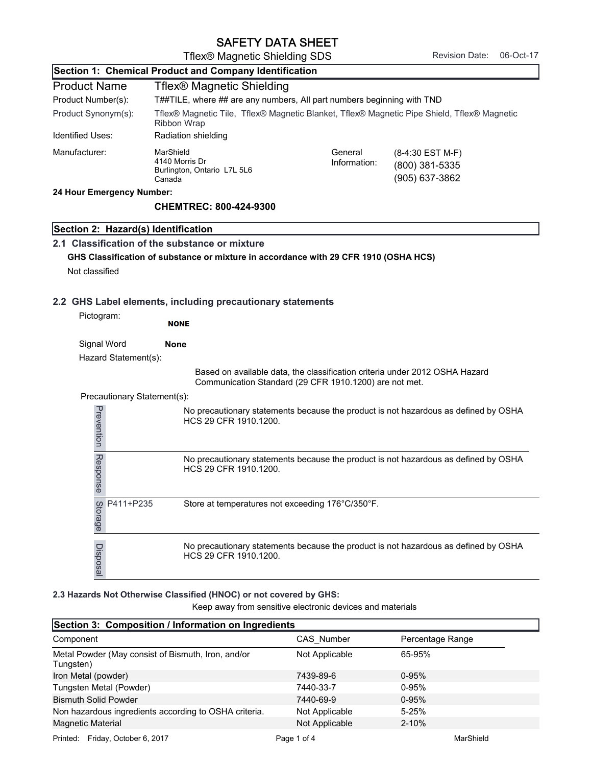|                                     | SAFETT DATA SHEET                                                                                                 |                                                        |                                                                                     |           |
|-------------------------------------|-------------------------------------------------------------------------------------------------------------------|--------------------------------------------------------|-------------------------------------------------------------------------------------|-----------|
|                                     | Tflex® Magnetic Shielding SDS                                                                                     |                                                        | <b>Revision Date:</b>                                                               | 06-Oct-17 |
|                                     | Section 1: Chemical Product and Company Identification                                                            |                                                        |                                                                                     |           |
| <b>Product Name</b>                 | Tflex® Magnetic Shielding                                                                                         |                                                        |                                                                                     |           |
| Product Number(s):                  | T##TILE, where ## are any numbers, All part numbers beginning with TND                                            |                                                        |                                                                                     |           |
| Product Synonym(s):                 | Tflex® Magnetic Tile, Tflex® Magnetic Blanket, Tflex® Magnetic Pipe Shield, Tflex® Magnetic<br><b>Ribbon Wrap</b> |                                                        |                                                                                     |           |
| <b>Identified Uses:</b>             | Radiation shielding                                                                                               |                                                        |                                                                                     |           |
| Manufacturer:                       | MarShield<br>4140 Morris Dr<br>Burlington, Ontario L7L 5L6<br>Canada                                              | General<br>Information:                                | (8-4:30 EST M-F)<br>(800) 381-5335<br>(905) 637-3862                                |           |
| 24 Hour Emergency Number:           |                                                                                                                   |                                                        |                                                                                     |           |
|                                     | <b>CHEMTREC: 800-424-9300</b>                                                                                     |                                                        |                                                                                     |           |
| Section 2: Hazard(s) Identification |                                                                                                                   |                                                        |                                                                                     |           |
|                                     | 2.1 Classification of the substance or mixture                                                                    |                                                        |                                                                                     |           |
|                                     | GHS Classification of substance or mixture in accordance with 29 CFR 1910 (OSHA HCS)                              |                                                        |                                                                                     |           |
| Not classified                      |                                                                                                                   |                                                        |                                                                                     |           |
|                                     |                                                                                                                   |                                                        |                                                                                     |           |
|                                     | 2.2 GHS Label elements, including precautionary statements                                                        |                                                        |                                                                                     |           |
| Pictogram:                          |                                                                                                                   |                                                        |                                                                                     |           |
|                                     | <b>NONE</b>                                                                                                       |                                                        |                                                                                     |           |
| Signal Word                         | <b>None</b>                                                                                                       |                                                        |                                                                                     |           |
| Hazard Statement(s):                |                                                                                                                   |                                                        |                                                                                     |           |
|                                     |                                                                                                                   | Communication Standard (29 CFR 1910.1200) are not met. | Based on available data, the classification criteria under 2012 OSHA Hazard         |           |
| Precautionary Statement(s):         |                                                                                                                   |                                                        |                                                                                     |           |
| Prevention                          | HCS 29 CFR 1910.1200.                                                                                             |                                                        | No precautionary statements because the product is not hazardous as defined by OSHA |           |
| Response                            | HCS 29 CFR 1910.1200.                                                                                             |                                                        | No precautionary statements because the product is not hazardous as defined by OSHA |           |
| P411+P235<br>Storage                | Store at temperatures not exceeding 176°C/350°F.                                                                  |                                                        |                                                                                     |           |
| Disposal                            | HCS 29 CFR 1910.1200.                                                                                             |                                                        | No precautionary statements because the product is not hazardous as defined by OSHA |           |

## **2.3 Hazards Not Otherwise Classified (HNOC) or not covered by GHS:**

| P411+P235<br>Storage                                               | Store at temperatures not exceeding 176°C/350°F.          |                                                                                     |
|--------------------------------------------------------------------|-----------------------------------------------------------|-------------------------------------------------------------------------------------|
| Disposal<br>HCS 29 CFR 1910.1200.                                  |                                                           | No precautionary statements because the product is not hazardous as defined by OSHA |
| 2.3 Hazards Not Otherwise Classified (HNOC) or not covered by GHS: | Keep away from sensitive electronic devices and materials |                                                                                     |
| Section 3: Composition / Information on Ingredients                |                                                           |                                                                                     |
| Component                                                          | CAS Number                                                | Percentage Range                                                                    |
| Metal Powder (May consist of Bismuth, Iron, and/or<br>Tungsten)    | Not Applicable                                            | 65-95%                                                                              |
| Iron Metal (powder)                                                | 7439-89-6                                                 | $0 - 95%$                                                                           |
| Tungsten Metal (Powder)                                            | 7440-33-7                                                 | $0 - 95%$                                                                           |
| <b>Bismuth Solid Powder</b>                                        | 7440-69-9                                                 | $0 - 95%$                                                                           |
| Non hazardous ingredients according to OSHA criteria.              | Not Applicable                                            | $5 - 25%$                                                                           |
| Magnetic Material                                                  | Not Applicable                                            | $2 - 10%$                                                                           |
| Printed: Friday, October 6, 2017                                   | Page 1 of 4                                               | MarShield                                                                           |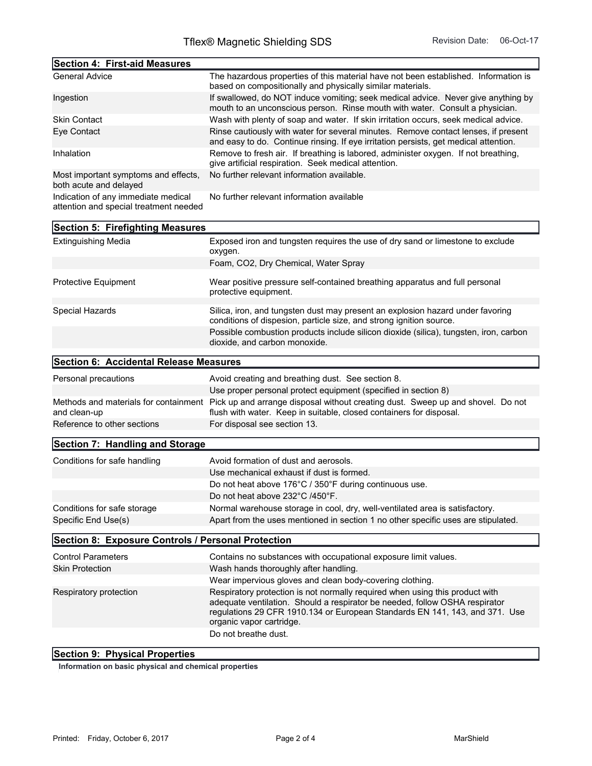| <b>Section 4: First-aid Measures</b>                                          |                                                                                                                                                                            |
|-------------------------------------------------------------------------------|----------------------------------------------------------------------------------------------------------------------------------------------------------------------------|
| <b>General Advice</b>                                                         | The hazardous properties of this material have not been established. Information is<br>based on compositionally and physically similar materials.                          |
| Ingestion                                                                     | If swallowed, do NOT induce vomiting; seek medical advice. Never give anything by<br>mouth to an unconscious person. Rinse mouth with water. Consult a physician.          |
| <b>Skin Contact</b>                                                           | Wash with plenty of soap and water. If skin irritation occurs, seek medical advice.                                                                                        |
| Eye Contact                                                                   | Rinse cautiously with water for several minutes. Remove contact lenses, if present<br>and easy to do. Continue rinsing. If eye irritation persists, get medical attention. |
| Inhalation                                                                    | Remove to fresh air. If breathing is labored, administer oxygen. If not breathing,<br>give artificial respiration. Seek medical attention.                                 |
| Most important symptoms and effects,<br>both acute and delayed                | No further relevant information available.                                                                                                                                 |
| Indication of any immediate medical<br>attention and special treatment needed | No further relevant information available                                                                                                                                  |

| <b>Section 5: Firefighting Measures</b>            |                                                                                                                                                                                                                                                                                                |
|----------------------------------------------------|------------------------------------------------------------------------------------------------------------------------------------------------------------------------------------------------------------------------------------------------------------------------------------------------|
| <b>Extinguishing Media</b>                         | Exposed iron and tungsten requires the use of dry sand or limestone to exclude<br>oxygen.                                                                                                                                                                                                      |
|                                                    | Foam, CO2, Dry Chemical, Water Spray                                                                                                                                                                                                                                                           |
| Protective Equipment                               | Wear positive pressure self-contained breathing apparatus and full personal<br>protective equipment.                                                                                                                                                                                           |
| Special Hazards                                    | Silica, iron, and tungsten dust may present an explosion hazard under favoring<br>conditions of dispesion, particle size, and strong ignition source.                                                                                                                                          |
|                                                    | Possible combustion products include silicon dioxide (silica), tungsten, iron, carbon<br>dioxide, and carbon monoxide.                                                                                                                                                                         |
| Section 6: Accidental Release Measures             |                                                                                                                                                                                                                                                                                                |
| Personal precautions                               | Avoid creating and breathing dust. See section 8.                                                                                                                                                                                                                                              |
|                                                    | Use proper personal protect equipment (specified in section 8)                                                                                                                                                                                                                                 |
| and clean-up                                       | Methods and materials for containment Pick up and arrange disposal without creating dust. Sweep up and shovel. Do not<br>flush with water. Keep in suitable, closed containers for disposal.                                                                                                   |
| Reference to other sections                        | For disposal see section 13.                                                                                                                                                                                                                                                                   |
| <b>Section 7: Handling and Storage</b>             |                                                                                                                                                                                                                                                                                                |
| Conditions for safe handling                       | Avoid formation of dust and aerosols.                                                                                                                                                                                                                                                          |
|                                                    | Use mechanical exhaust if dust is formed.                                                                                                                                                                                                                                                      |
|                                                    | Do not heat above 176°C / 350°F during continuous use.                                                                                                                                                                                                                                         |
|                                                    | Do not heat above 232°C /450°F.                                                                                                                                                                                                                                                                |
| Conditions for safe storage                        | Normal warehouse storage in cool, dry, well-ventilated area is satisfactory.                                                                                                                                                                                                                   |
| Specific End Use(s)                                | Apart from the uses mentioned in section 1 no other specific uses are stipulated.                                                                                                                                                                                                              |
| Section 8: Exposure Controls / Personal Protection |                                                                                                                                                                                                                                                                                                |
| <b>Control Parameters</b>                          | Contains no substances with occupational exposure limit values.                                                                                                                                                                                                                                |
| <b>Skin Protection</b>                             | Wash hands thoroughly after handling.                                                                                                                                                                                                                                                          |
|                                                    | Wear impervious gloves and clean body-covering clothing.                                                                                                                                                                                                                                       |
| Respiratory protection                             | Respiratory protection is not normally required when using this product with<br>adequate ventilation. Should a respirator be needed, follow OSHA respirator<br>regulations 29 CFR 1910.134 or European Standards EN 141, 143, and 371. Use<br>organic vapor cartridge.<br>Do not breathe dust. |
|                                                    |                                                                                                                                                                                                                                                                                                |

## **Section 9: Physical Properties**

**Information on basic physical and chemical properties**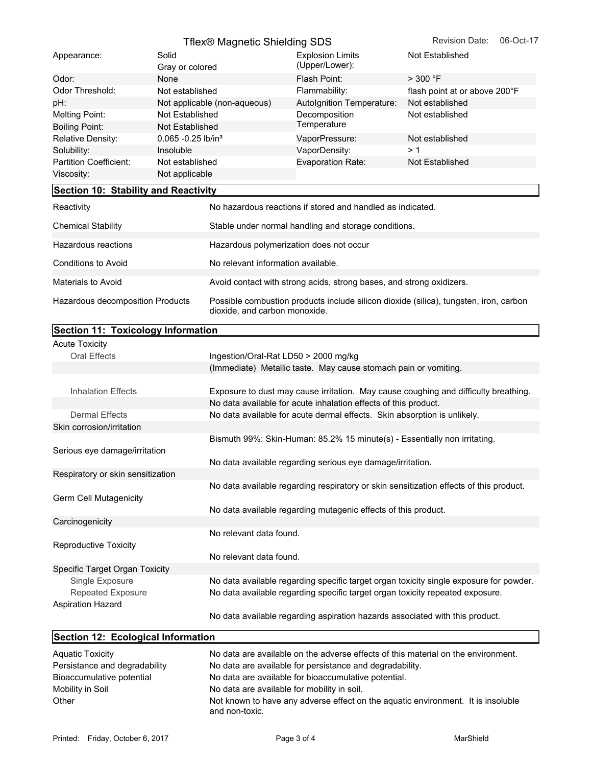| Section 10: Stability and Reactivity |                                        |                                  |                                                       |
|--------------------------------------|----------------------------------------|----------------------------------|-------------------------------------------------------|
| Viscosity:                           | Not applicable                         |                                  |                                                       |
| Partition Coefficient:               | Not established                        | <b>Evaporation Rate:</b>         | Not Established                                       |
| Solubility:                          | Insoluble                              | VaporDensity:                    | > 1                                                   |
| <b>Relative Density:</b>             | $0.065 - 0.25$ lb/in <sup>3</sup>      | VaporPressure:                   | Not established                                       |
| <b>Boiling Point:</b>                | Not Established                        | Temperature                      |                                                       |
| Melting Point:                       | Not Established                        | Decomposition                    | Not established                                       |
| pH:                                  | Not applicable (non-aqueous)           | <b>Autolgnition Temperature:</b> | Not established                                       |
| Odor Threshold:                      | Not established                        | Flammability:                    | flash point at or above 200°F                         |
| Odor:                                | None                                   | Flash Point:                     | $>$ 300 °F                                            |
|                                      | Gray or colored                        | (Upper/Lower):                   |                                                       |
|                                      |                                        |                                  |                                                       |
| Appearance:                          | Tflex® Magnetic Shielding SDS<br>Solid | <b>Explosion Limits</b>          | <b>Revision Date:</b><br>06-Oct-17<br>Not Established |

| <b>Chemical Stability</b>        | Stable under normal handling and storage conditions.                                                                   |
|----------------------------------|------------------------------------------------------------------------------------------------------------------------|
|                                  |                                                                                                                        |
| Hazardous reactions              | Hazardous polymerization does not occur                                                                                |
| Conditions to Avoid              | No relevant information available.                                                                                     |
|                                  |                                                                                                                        |
| Materials to Avoid               | Avoid contact with strong acids, strong bases, and strong oxidizers.                                                   |
| Hazardous decomposition Products | Possible combustion products include silicon dioxide (silica), tungsten, iron, carbon<br>dioxide, and carbon monoxide. |

| Section 11: Toxicology Information |                                                                                        |
|------------------------------------|----------------------------------------------------------------------------------------|
| <b>Acute Toxicity</b>              |                                                                                        |
| <b>Oral Effects</b>                | Ingestion/Oral-Rat LD50 > 2000 mg/kg                                                   |
|                                    | (Immediate) Metallic taste. May cause stomach pain or vomiting.                        |
|                                    |                                                                                        |
| <b>Inhalation Effects</b>          | Exposure to dust may cause irritation. May cause coughing and difficulty breathing.    |
|                                    | No data available for acute inhalation effects of this product.                        |
| <b>Dermal Effects</b>              | No data available for acute dermal effects. Skin absorption is unlikely.               |
| Skin corrosion/irritation          |                                                                                        |
|                                    | Bismuth 99%: Skin-Human: 85.2% 15 minute(s) - Essentially non irritating.              |
| Serious eye damage/irritation      |                                                                                        |
|                                    | No data available regarding serious eye damage/irritation.                             |
| Respiratory or skin sensitization  |                                                                                        |
|                                    | No data available regarding respiratory or skin sensitization effects of this product. |
| Germ Cell Mutagenicity             |                                                                                        |
|                                    | No data available regarding mutagenic effects of this product.                         |
| Carcinogenicity                    |                                                                                        |
|                                    | No relevant data found.                                                                |
| <b>Reproductive Toxicity</b>       |                                                                                        |
|                                    | No relevant data found.                                                                |
| Specific Target Organ Toxicity     |                                                                                        |
| Single Exposure                    | No data available regarding specific target organ toxicity single exposure for powder. |
| <b>Repeated Exposure</b>           | No data available regarding specific target organ toxicity repeated exposure.          |
| <b>Aspiration Hazard</b>           |                                                                                        |
|                                    | No data available regarding aspiration hazards associated with this product.           |
|                                    |                                                                                        |
| Section 12: Ecological Information |                                                                                        |

| <b>Aquatic Toxicity</b>       | No data are available on the adverse effects of this material on the environment.                  |
|-------------------------------|----------------------------------------------------------------------------------------------------|
| Persistance and degradability | No data are available for persistance and degradability.                                           |
| Bioaccumulative potential     | No data are available for bioaccumulative potential.                                               |
| Mobility in Soil              | No data are available for mobility in soil.                                                        |
| Other                         | Not known to have any adverse effect on the aquatic environment. It is insoluble<br>and non-toxic. |